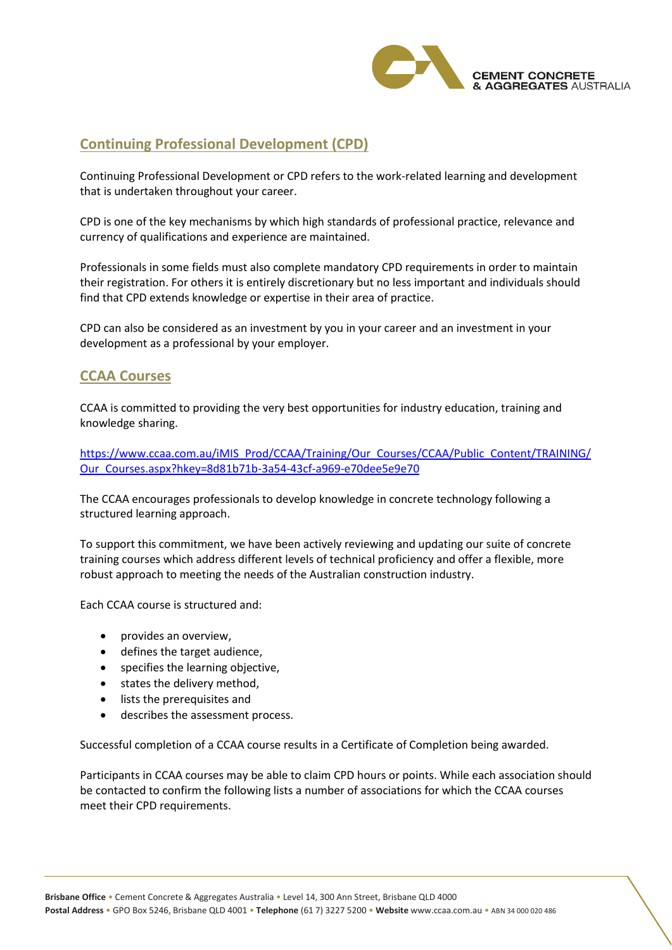

# **Continuing Professional Development (CPD)**

Continuing Professional Development or CPD refers to the work-related learning and development that is undertaken throughout your career.

CPD is one of the key mechanisms by which high standards of professional practice, relevance and currency of qualifications and experience are maintained.

Professionals in some fields must also complete mandatory CPD requirements in order to maintain their registration. For others it is entirely discretionary but no less important and individuals should find that CPD extends knowledge or expertise in their area of practice.

CPD can also be considered as an investment by you in your career and an investment in your development as a professional by your employer.

## **CCAA Courses**

CCAA is committed to providing the very best opportunities for industry education, training and knowledge sharing.

[https://www.ccaa.com.au/iMIS\\_Prod/CCAA/Training/Our\\_Courses/CCAA/Public\\_Content/TRAINING/](https://www.ccaa.com.au/iMIS_Prod/CCAA/Training/Our_Courses/CCAA/Public_Content/TRAINING/Our_Courses.aspx?hkey=8d81b71b-3a54-43cf-a969-e70dee5e9e70) [Our\\_Courses.aspx?hkey=8d81b71b-3a54-43cf-a969-e70dee5e9e70](https://www.ccaa.com.au/iMIS_Prod/CCAA/Training/Our_Courses/CCAA/Public_Content/TRAINING/Our_Courses.aspx?hkey=8d81b71b-3a54-43cf-a969-e70dee5e9e70)

The CCAA encourages professionals to develop knowledge in concrete technology following a structured learning approach.

To support this commitment, we have been actively reviewing and updating our suite of concrete training courses which address different levels of technical proficiency and offer a flexible, more robust approach to meeting the needs of the Australian construction industry.

Each CCAA course is structured and:

- provides an overview,
- defines the target audience,
- specifies the learning objective,
- states the delivery method,
- lists the prerequisites and
- describes the assessment process.

Successful completion of a CCAA course results in a Certificate of Completion being awarded.

Participants in CCAA courses may be able to claim CPD hours or points. While each association should be contacted to confirm the following lists a number of associations for which the CCAA courses meet their CPD requirements.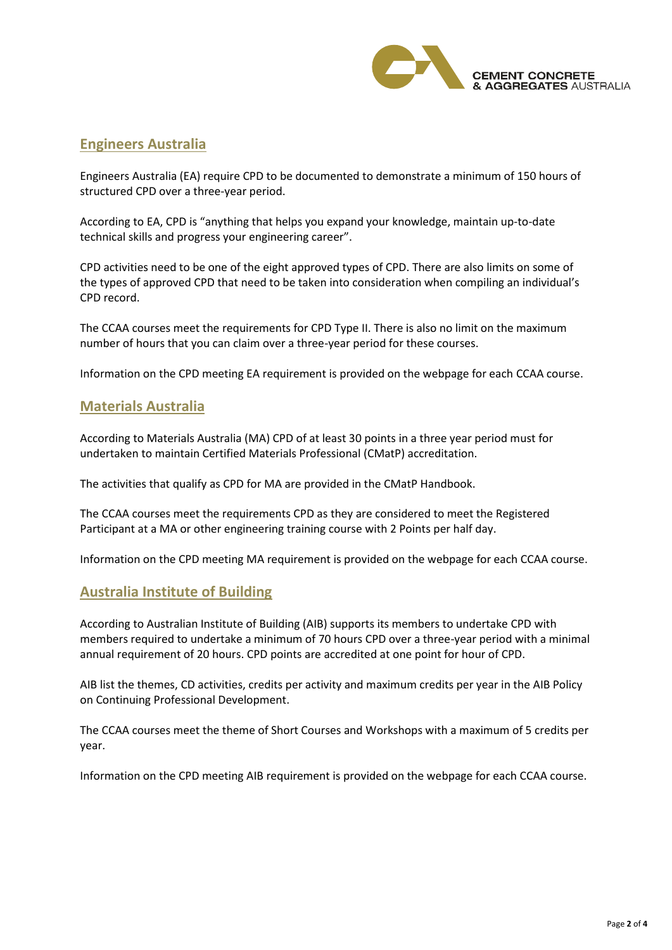

### **Engineers Australia**

Engineers Australia (EA) require CPD to be documented to demonstrate a minimum of 150 hours of structured CPD over a three-year period.

According to EA, CPD is "anything that helps you expand your knowledge, maintain up-to-date technical skills and progress your engineering career".

CPD activities need to be one of the eight approved types of CPD. There are also limits on some of the types of approved CPD that need to be taken into consideration when compiling an individual's CPD record.

The CCAA courses meet the requirements for CPD Type II. There is also no limit on the maximum number of hours that you can claim over a three-year period for these courses.

Information on the CPD meeting EA requirement is provided on the webpage for each CCAA course.

### **Materials Australia**

According to Materials Australia (MA) CPD of at least 30 points in a three year period must for undertaken to maintain Certified Materials Professional (CMatP) accreditation.

The activities that qualify as CPD for MA are provided in the CMatP Handbook.

The CCAA courses meet the requirements CPD as they are considered to meet the Registered Participant at a MA or other engineering training course with 2 Points per half day.

Information on the CPD meeting MA requirement is provided on the webpage for each CCAA course.

## **Australia Institute of Building**

According to Australian Institute of Building (AIB) supports its members to undertake CPD with members required to undertake a minimum of 70 hours CPD over a three-year period with a minimal annual requirement of 20 hours. CPD points are accredited at one point for hour of CPD.

AIB list the themes, CD activities, credits per activity and maximum credits per year in the AIB Policy on Continuing Professional Development.

The CCAA courses meet the theme of Short Courses and Workshops with a maximum of 5 credits per year.

Information on the CPD meeting AIB requirement is provided on the webpage for each CCAA course.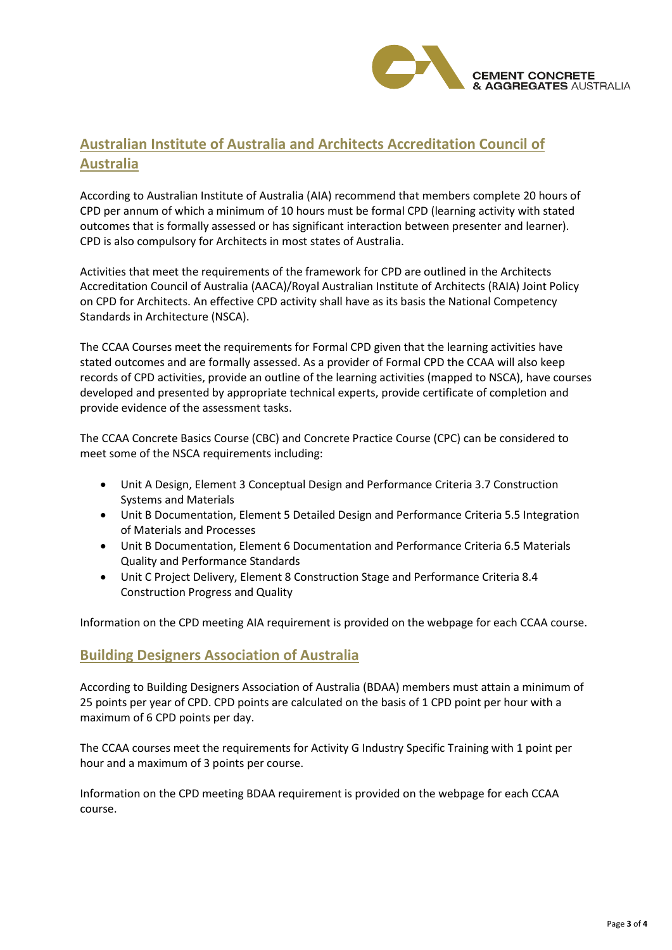

# **Australian Institute of Australia and Architects Accreditation Council of Australia**

According to Australian Institute of Australia (AIA) recommend that members complete 20 hours of CPD per annum of which a minimum of 10 hours must be formal CPD (learning activity with stated outcomes that is formally assessed or has significant interaction between presenter and learner). CPD is also compulsory for Architects in most states of Australia.

Activities that meet the requirements of the framework for CPD are outlined in the Architects Accreditation Council of Australia (AACA)/Royal Australian Institute of Architects (RAIA) Joint Policy on CPD for Architects. An effective CPD activity shall have as its basis the National Competency Standards in Architecture (NSCA).

The CCAA Courses meet the requirements for Formal CPD given that the learning activities have stated outcomes and are formally assessed. As a provider of Formal CPD the CCAA will also keep records of CPD activities, provide an outline of the learning activities (mapped to NSCA), have courses developed and presented by appropriate technical experts, provide certificate of completion and provide evidence of the assessment tasks.

The CCAA Concrete Basics Course (CBC) and Concrete Practice Course (CPC) can be considered to meet some of the NSCA requirements including:

- Unit A Design, Element 3 Conceptual Design and Performance Criteria 3.7 Construction Systems and Materials
- Unit B Documentation, Element 5 Detailed Design and Performance Criteria 5.5 Integration of Materials and Processes
- Unit B Documentation, Element 6 Documentation and Performance Criteria 6.5 Materials Quality and Performance Standards
- Unit C Project Delivery, Element 8 Construction Stage and Performance Criteria 8.4 Construction Progress and Quality

Information on the CPD meeting AIA requirement is provided on the webpage for each CCAA course.

### **Building Designers Association of Australia**

According to Building Designers Association of Australia (BDAA) members must attain a minimum of 25 points per year of CPD. CPD points are calculated on the basis of 1 CPD point per hour with a maximum of 6 CPD points per day.

The CCAA courses meet the requirements for Activity G Industry Specific Training with 1 point per hour and a maximum of 3 points per course.

Information on the CPD meeting BDAA requirement is provided on the webpage for each CCAA course.